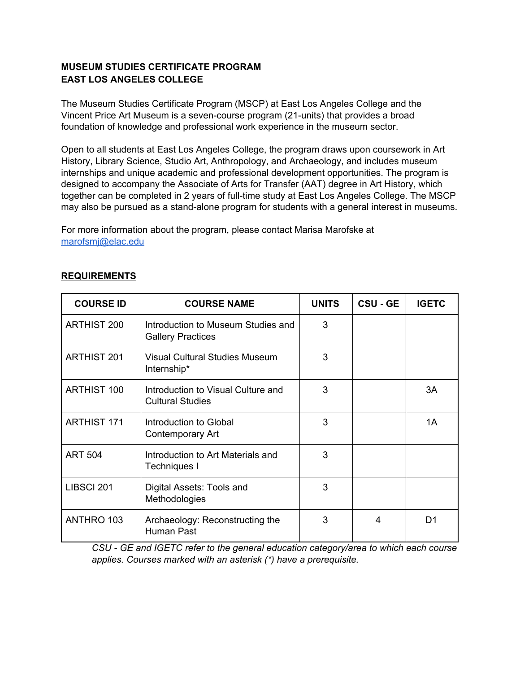## **MUSEUM STUDIES CERTIFICATE PROGRAM EAST LOS ANGELES COLLEGE**

The Museum Studies Certificate Program (MSCP) at East Los Angeles College and the Vincent Price Art Museum is a seven-course program (21-units) that provides a broad foundation of knowledge and professional work experience in the museum sector.

Open to all students at East Los Angeles College, the program draws upon coursework in Art History, Library Science, Studio Art, Anthropology, and Archaeology, and includes museum internships and unique academic and professional development opportunities. The program is designed to accompany the Associate of Arts for Transfer (AAT) degree in Art History, which together can be completed in 2 years of full-time study at East Los Angeles College. The MSCP may also be pursued as a stand-alone program for students with a general interest in museums.

For more information about the program, please contact Marisa Marofske at [marofsmj@elac.edu](mailto:marofsmj@elac.edu)

| <b>COURSE ID</b>   | <b>COURSE NAME</b>                                             | <b>UNITS</b> | <b>CSU - GE</b> | <b>IGETC</b> |
|--------------------|----------------------------------------------------------------|--------------|-----------------|--------------|
| <b>ARTHIST 200</b> | Introduction to Museum Studies and<br><b>Gallery Practices</b> | 3            |                 |              |
| <b>ARTHIST 201</b> | Visual Cultural Studies Museum<br>Internship*                  | 3            |                 |              |
| <b>ARTHIST 100</b> | Introduction to Visual Culture and<br><b>Cultural Studies</b>  | 3            |                 | 3A           |
| <b>ARTHIST 171</b> | Introduction to Global<br><b>Contemporary Art</b>              | 3            |                 | 1A           |
| <b>ART 504</b>     | Introduction to Art Materials and<br>Techniques I              | 3            |                 |              |
| LIBSCI 201         | Digital Assets: Tools and<br>Methodologies                     | 3            |                 |              |
| ANTHRO 103         | Archaeology: Reconstructing the<br>Human Past                  | 3            | 4               | D1           |

## **REQUIREMENTS**

*CSU - GE and IGETC refer to the general education category/area to which each course applies. Courses marked with an asterisk (\*) have a prerequisite.*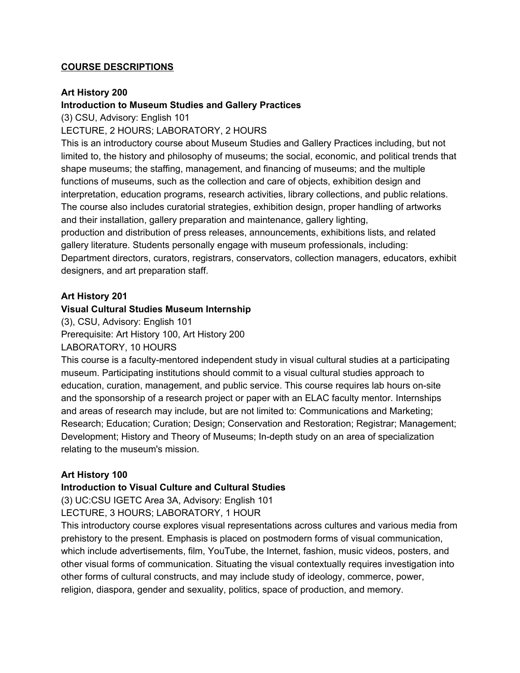### **COURSE DESCRIPTIONS**

#### **Art History 200**

### **Introduction to Museum Studies and Gallery Practices**

(3) CSU, Advisory: English 101

LECTURE, 2 HOURS; LABORATORY, 2 HOURS

This is an introductory course about Museum Studies and Gallery Practices including, but not limited to, the history and philosophy of museums; the social, economic, and political trends that shape museums; the staffing, management, and financing of museums; and the multiple functions of museums, such as the collection and care of objects, exhibition design and interpretation, education programs, research activities, library collections, and public relations. The course also includes curatorial strategies, exhibition design, proper handling of artworks and their installation, gallery preparation and maintenance, gallery lighting, production and distribution of press releases, announcements, exhibitions lists, and related

gallery literature. Students personally engage with museum professionals, including: Department directors, curators, registrars, conservators, collection managers, educators, exhibit designers, and art preparation staff.

#### **Art History 201**

#### **Visual Cultural Studies Museum Internship**

(3), CSU, Advisory: English 101 Prerequisite: Art History 100, Art History 200 LABORATORY, 10 HOURS

This course is a faculty-mentored independent study in visual cultural studies at a participating museum. Participating institutions should commit to a visual cultural studies approach to education, curation, management, and public service. This course requires lab hours on-site and the sponsorship of a research project or paper with an ELAC faculty mentor. Internships and areas of research may include, but are not limited to: Communications and Marketing; Research; Education; Curation; Design; Conservation and Restoration; Registrar; Management; Development; History and Theory of Museums; In-depth study on an area of specialization relating to the museum's mission.

#### **Art History 100**

#### **Introduction to Visual Culture and Cultural Studies**

(3) UC:CSU IGETC Area 3A, Advisory: English 101 LECTURE, 3 HOURS; LABORATORY, 1 HOUR

This introductory course explores visual representations across cultures and various media from prehistory to the present. Emphasis is placed on postmodern forms of visual communication, which include advertisements, film, YouTube, the Internet, fashion, music videos, posters, and other visual forms of communication. Situating the visual contextually requires investigation into other forms of cultural constructs, and may include study of ideology, commerce, power, religion, diaspora, gender and sexuality, politics, space of production, and memory.